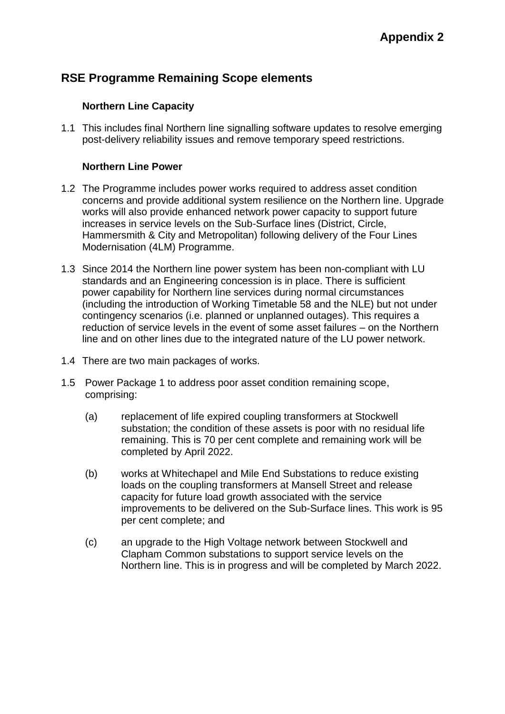# **RSE Programme Remaining Scope elements**

### **Northern Line Capacity**

1.1 This includes final Northern line signalling software updates to resolve emerging post-delivery reliability issues and remove temporary speed restrictions.

#### **Northern Line Power**

- 1.2 The Programme includes power works required to address asset condition concerns and provide additional system resilience on the Northern line. Upgrade works will also provide enhanced network power capacity to support future increases in service levels on the Sub-Surface lines (District, Circle, Hammersmith & City and Metropolitan) following delivery of the Four Lines Modernisation (4LM) Programme.
- 1.3 Since 2014 the Northern line power system has been non-compliant with LU standards and an Engineering concession is in place. There is sufficient power capability for Northern line services during normal circumstances (including the introduction of Working Timetable 58 and the NLE) but not under contingency scenarios (i.e. planned or unplanned outages). This requires a reduction of service levels in the event of some asset failures – on the Northern line and on other lines due to the integrated nature of the LU power network.
- 1.4 There are two main packages of works.
- 1.5 Power Package 1 to address poor asset condition remaining scope, comprising:
	- (a) replacement of life expired coupling transformers at Stockwell substation; the condition of these assets is poor with no residual life remaining. This is 70 per cent complete and remaining work will be completed by April 2022.
	- (b) works at Whitechapel and Mile End Substations to reduce existing loads on the coupling transformers at Mansell Street and release capacity for future load growth associated with the service improvements to be delivered on the Sub-Surface lines. This work is 95 per cent complete; and
	- (c) an upgrade to the High Voltage network between Stockwell and Clapham Common substations to support service levels on the Northern line. This is in progress and will be completed by March 2022.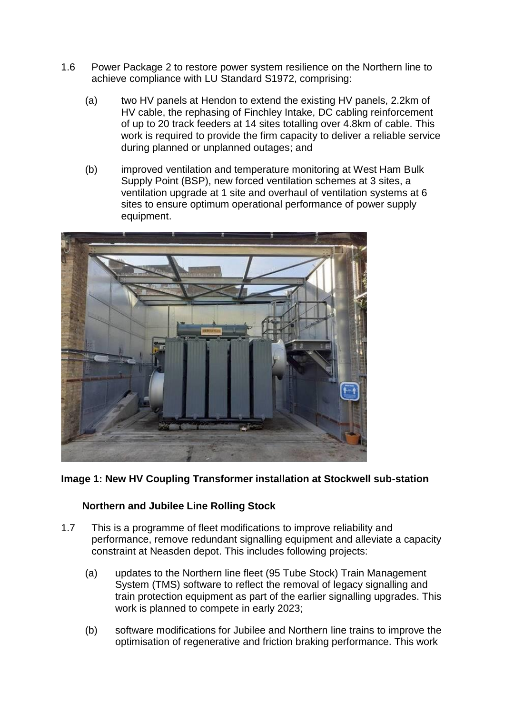- 1.6 Power Package 2 to restore power system resilience on the Northern line to achieve compliance with LU Standard S1972, comprising:
	- (a) two HV panels at Hendon to extend the existing HV panels, 2.2km of HV cable, the rephasing of Finchley Intake, DC cabling reinforcement of up to 20 track feeders at 14 sites totalling over 4.8km of cable. This work is required to provide the firm capacity to deliver a reliable service during planned or unplanned outages; and
	- (b) improved ventilation and temperature monitoring at West Ham Bulk Supply Point (BSP), new forced ventilation schemes at 3 sites, a ventilation upgrade at 1 site and overhaul of ventilation systems at 6 sites to ensure optimum operational performance of power supply equipment.



# **Image 1: New HV Coupling Transformer installation at Stockwell sub-station**

# **Northern and Jubilee Line Rolling Stock**

- 1.7 This is a programme of fleet modifications to improve reliability and performance, remove redundant signalling equipment and alleviate a capacity constraint at Neasden depot. This includes following projects:
	- (a) updates to the Northern line fleet (95 Tube Stock) Train Management System (TMS) software to reflect the removal of legacy signalling and train protection equipment as part of the earlier signalling upgrades. This work is planned to compete in early 2023;
	- (b) software modifications for Jubilee and Northern line trains to improve the optimisation of regenerative and friction braking performance. This work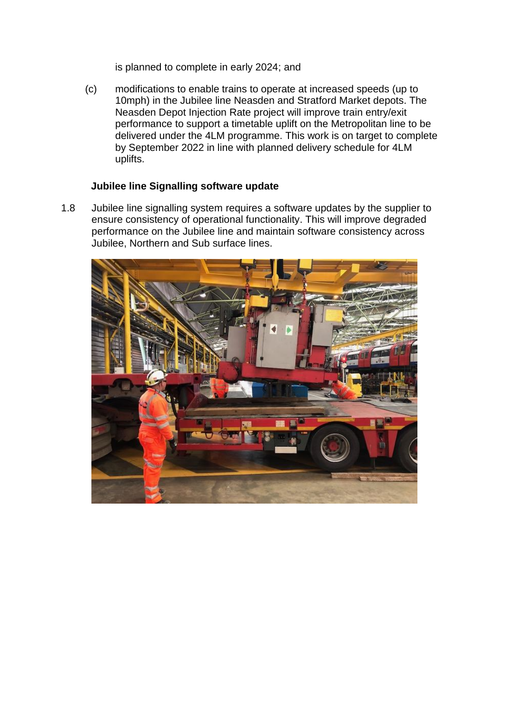is planned to complete in early 2024; and

(c) modifications to enable trains to operate at increased speeds (up to 10mph) in the Jubilee line Neasden and Stratford Market depots. The Neasden Depot Injection Rate project will improve train entry/exit performance to support a timetable uplift on the Metropolitan line to be delivered under the 4LM programme. This work is on target to complete by September 2022 in line with planned delivery schedule for 4LM uplifts.

### **Jubilee line Signalling software update**

1.8 Jubilee line signalling system requires a software updates by the supplier to ensure consistency of operational functionality. This will improve degraded performance on the Jubilee line and maintain software consistency across Jubilee, Northern and Sub surface lines.

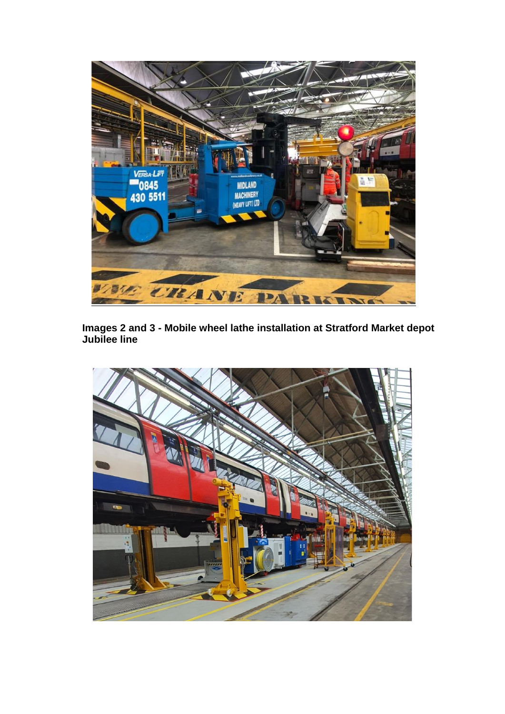

**Images 2 and 3 - Mobile wheel lathe installation at Stratford Market depot Jubilee line**